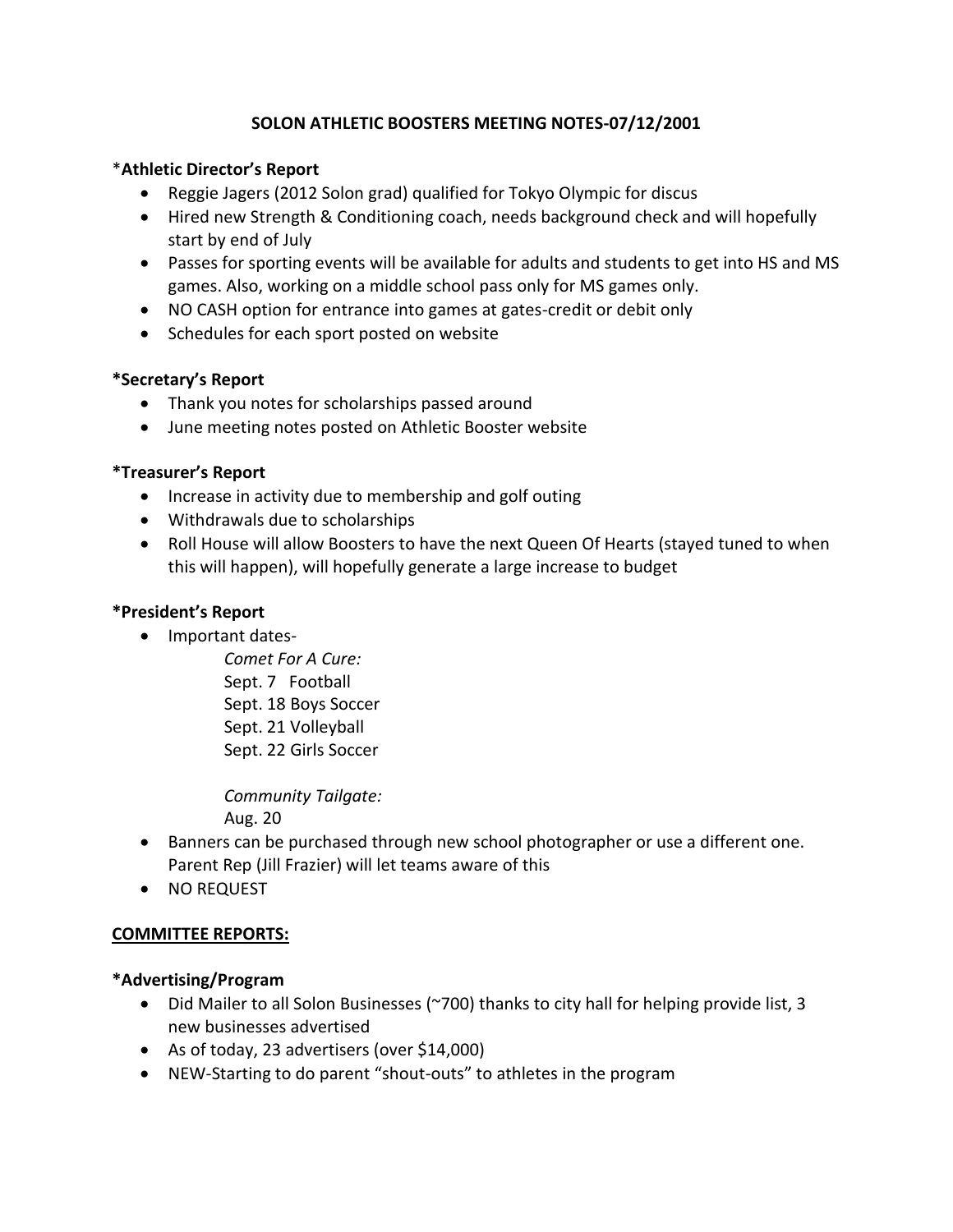# **SOLON ATHLETIC BOOSTERS MEETING NOTES-07/12/2001**

## \***Athletic Director's Report**

- Reggie Jagers (2012 Solon grad) qualified for Tokyo Olympic for discus
- Hired new Strength & Conditioning coach, needs background check and will hopefully start by end of July
- Passes for sporting events will be available for adults and students to get into HS and MS games. Also, working on a middle school pass only for MS games only.
- NO CASH option for entrance into games at gates-credit or debit only
- Schedules for each sport posted on website

# **\*Secretary's Report**

- Thank you notes for scholarships passed around
- June meeting notes posted on Athletic Booster website

## **\*Treasurer's Report**

- Increase in activity due to membership and golf outing
- Withdrawals due to scholarships
- Roll House will allow Boosters to have the next Queen Of Hearts (stayed tuned to when this will happen), will hopefully generate a large increase to budget

# **\*President's Report**

• Important dates-

*Comet For A Cure:* Sept. 7 Football Sept. 18 Boys Soccer Sept. 21 Volleyball Sept. 22 Girls Soccer

*Community Tailgate:*

Aug. 20

- Banners can be purchased through new school photographer or use a different one. Parent Rep (Jill Frazier) will let teams aware of this
- NO REQUEST

### **COMMITTEE REPORTS:**

### **\*Advertising/Program**

- Did Mailer to all Solon Businesses (~700) thanks to city hall for helping provide list, 3 new businesses advertised
- As of today, 23 advertisers (over \$14,000)
- NEW-Starting to do parent "shout-outs" to athletes in the program